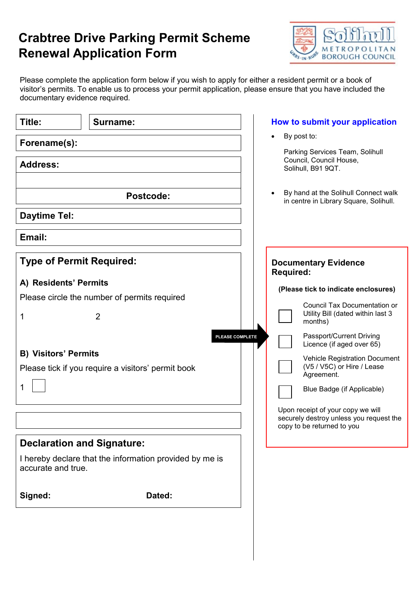## Crabtree Drive Parking Permit Scheme Renewal Application Form



Please complete the application form below if you wish to apply for either a resident permit or a book of visitor's permits. To enable us to process your permit application, please ensure that you have included the documentary evidence required.

| Title:                            | Surname:                                                       | How to submit your application                                                                                                                                                             |
|-----------------------------------|----------------------------------------------------------------|--------------------------------------------------------------------------------------------------------------------------------------------------------------------------------------------|
| Forename(s):                      |                                                                | By post to:                                                                                                                                                                                |
| <b>Address:</b>                   |                                                                | Parking Services Team, Solihull<br>Council, Council House,<br>Solihull, B91 9QT.                                                                                                           |
|                                   | Postcode:                                                      | By hand at the Solihull Connect walk<br>in centre in Library Square, Solihull.                                                                                                             |
| <b>Daytime Tel:</b>               |                                                                |                                                                                                                                                                                            |
| Email:                            |                                                                |                                                                                                                                                                                            |
| <b>Type of Permit Required:</b>   |                                                                | <b>Documentary Evidence</b><br><b>Required:</b>                                                                                                                                            |
| A) Residents' Permits             |                                                                | (Please tick to indicate enclosures)                                                                                                                                                       |
| 1                                 | Please circle the number of permits required<br>$\overline{2}$ | Council Tax Documentation or<br>Utility Bill (dated within last 3<br>months)                                                                                                               |
| <b>B) Visitors' Permits</b>       | Please tick if you require a visitors' permit book             | Passport/Current Driving<br>PLEASE COMPLETE<br>Licence (if aged over 65)<br><b>Vehicle Registration Document</b><br>(V5 / V5C) or Hire / Lease<br>Agreement.<br>Blue Badge (if Applicable) |
|                                   |                                                                | Upon receipt of your copy we will<br>securely destroy unless you request the<br>copy to be returned to you                                                                                 |
| <b>Declaration and Signature:</b> |                                                                |                                                                                                                                                                                            |
| accurate and true.                | I hereby declare that the information provided by me is        |                                                                                                                                                                                            |
| Signed:                           | Dated:                                                         |                                                                                                                                                                                            |
|                                   |                                                                |                                                                                                                                                                                            |